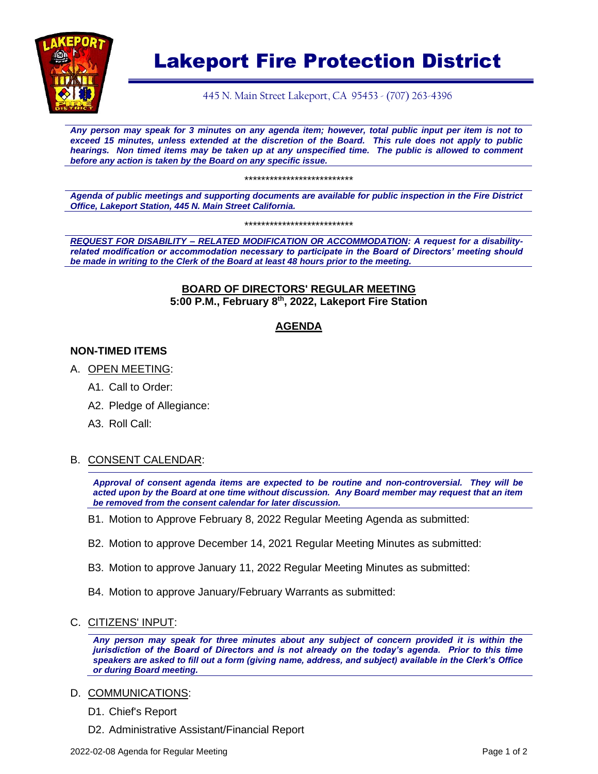

# Lakeport Fire Protection District

445 N. Main Street Lakeport, CA 95453 - (707) 263-4396

*Any person may speak for 3 minutes on any agenda item; however, total public input per item is not to exceed 15 minutes, unless extended at the discretion of the Board. This rule does not apply to public hearings. Non timed items may be taken up at any unspecified time. The public is allowed to comment before any action is taken by the Board on any specific issue.* 

\*\*\*\*\*\*\*\*\*\*\*\*\*\*\*\*\*\*\*\*\*\*\*\*\*\*

*Agenda of public meetings and supporting documents are available for public inspection in the Fire District Office, Lakeport Station, 445 N. Main Street California.*

\*\*\*\*\*\*\*\*\*\*\*\*\*\*\*\*\*\*\*\*\*\*\*\*\*\*

*REQUEST FOR DISABILITY – RELATED MODIFICATION OR ACCOMMODATION: A request for a disabilityrelated modification or accommodation necessary to participate in the Board of Directors' meeting should be made in writing to the Clerk of the Board at least 48 hours prior to the meeting.*

#### **BOARD OF DIRECTORS' REGULAR MEETING 5:00 P.M., February 8 th, 2022, Lakeport Fire Station**

# **AGENDA**

### **NON-TIMED ITEMS**

- A. OPEN MEETING:
	- A1. Call to Order:
	- A2. Pledge of Allegiance:
	- A3. Roll Call:

#### B. CONSENT CALENDAR:

*Approval of consent agenda items are expected to be routine and non-controversial. They will be acted upon by the Board at one time without discussion. Any Board member may request that an item be removed from the consent calendar for later discussion.*

- B1. Motion to Approve February 8, 2022 Regular Meeting Agenda as submitted:
- B2. Motion to approve December 14, 2021 Regular Meeting Minutes as submitted:
- B3. Motion to approve January 11, 2022 Regular Meeting Minutes as submitted:
- B4. Motion to approve January/February Warrants as submitted:
- C. CITIZENS' INPUT:

*Any person may speak for three minutes about any subject of concern provided it is within the jurisdiction of the Board of Directors and is not already on the today's agenda. Prior to this time speakers are asked to fill out a form (giving name, address, and subject) available in the Clerk's Office or during Board meeting.*

- D. COMMUNICATIONS:
	- D1. Chief's Report
	- D2. Administrative Assistant/Financial Report